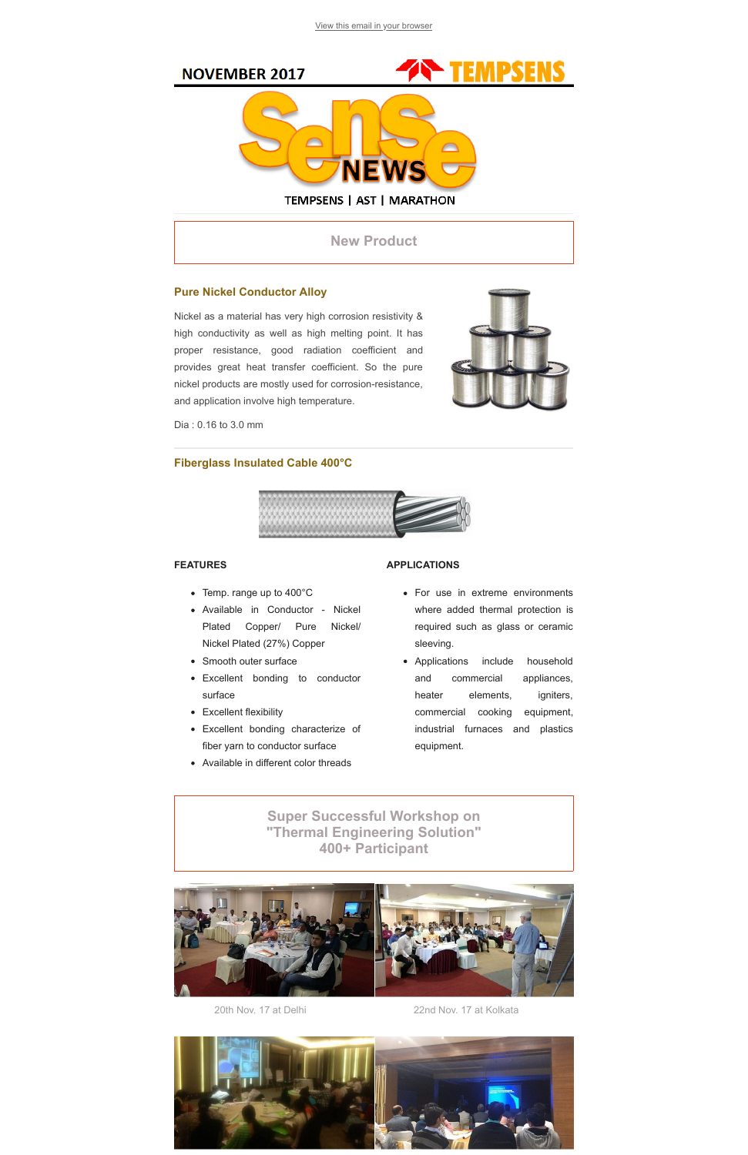[View this email in your browser](file:///K:/Akshay%20Kumar/Newsletter/*%7CARCHIVE%7C*)



New Product

## Pure Nickel Conductor Alloy

Nickel as a material has very high corrosion resistivity & high conductivity as well as high melting point. It has proper resistance, good radiation coefficient and provides great heat transfer coefficient. So the pure nickel products are mostly used for corrosion-resistance, and application involve high temperature.



Dia : 0.16 to 3.0 mm

### Fiberglass Insulated Cable 400°C



#### FEATURES

- Temp. range up to 400°C
- Available in Conductor Nickel Plated Copper/ Pure Nickel/ Nickel Plated (27%) Copper
- Smooth outer surface
- Excellent bonding to conductor surface
- Excellent flexibility
- Excellent bonding characterize of fiber yarn to conductor surface
- Available in different color threads

#### APPLICATIONS

- For use in extreme environments where added thermal protection is required such as glass or ceramic sleeving.
- Applications include household and commercial appliances, heater elements, igniters, commercial cooking equipment, industrial furnaces and plastics equipment.

Super Successful Workshop on "Thermal Engineering Solution" 400+ Participant



20th Nov. 17 at Delhi 22nd Nov. 17 at Kolkata

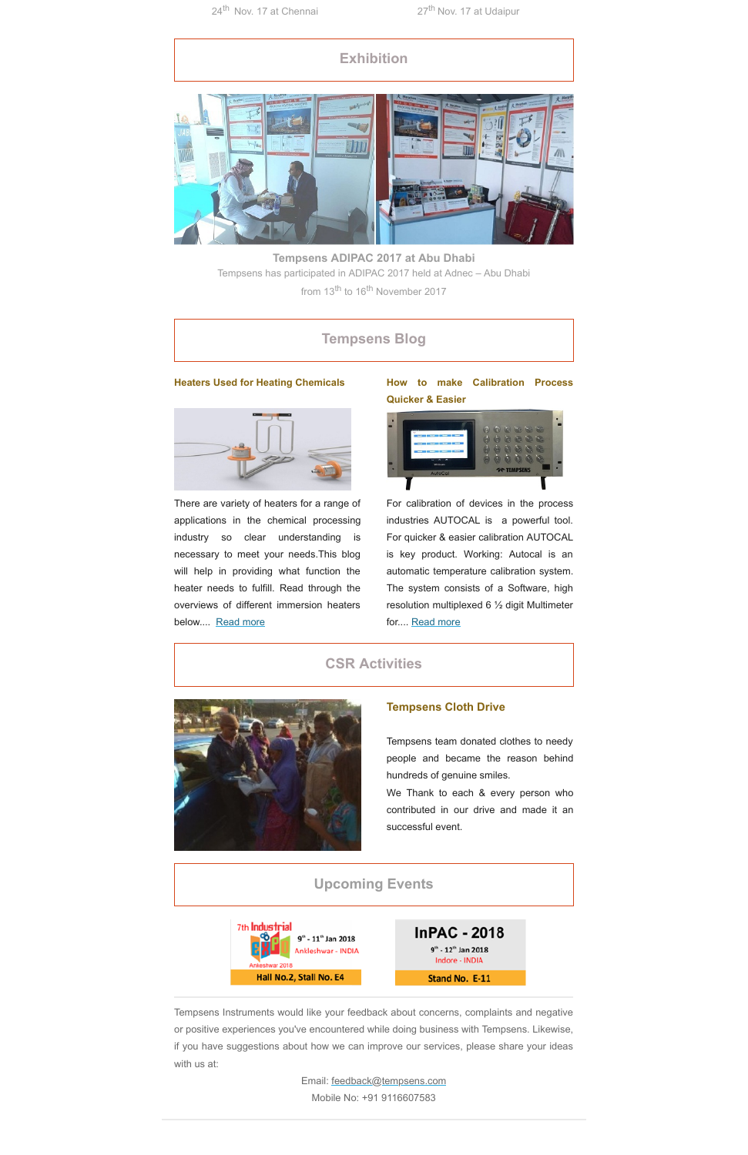# **Exhibition**



Tempsens ADIPAC 2017 at Abu Dhabi Tempsens has participated in ADIPAC 2017 held at Adnec – Abu Dhabi from 13<sup>th</sup> to 16<sup>th</sup> November 2017

There are variety of heaters for a range of applications in the chemical processing industry so clear understanding is necessary to meet your needs.This blog will help in providing what function the heater needs to fulfill. Read through the overviews of different immersion heaters below.... [Read more](http://www.tempsens.com/blog/heaters/heaters-used-for-heating-chemicals)

# Tempsens Blog

### Heaters Used for Heating Chemicals



For calibration of devices in the process industries AUTOCAL is a powerful tool. For quicker & easier calibration AUTOCAL is key product. Working: Autocal is an automatic temperature calibration system. The system consists of a Software, high resolution multiplexed 6 ½ digit Multimeter for.... [Read more](http://www.tempsens.com/blog/calibration/how-to-make-calibration-process-quicker-easier)

## How to make Calibration Process Quicker & Easier



## CSR Activities



## Tempsens Cloth Drive

Tempsens team donated clothes to needy people and became the reason behind hundreds of genuine smiles.

We Thank to each & every person who contributed in our drive and made it an successful event.

## Upcoming Events



Tempsens Instruments would like your feedback about concerns, complaints and negative or positive experiences you've encountered while doing business with Tempsens. Likewise, if you have suggestions about how we can improve our services, please share your ideas with us at:

Email: [feedback@tempsens.com](mailto:feedback@tempsens.com)

Mobile No: +91 9116607583